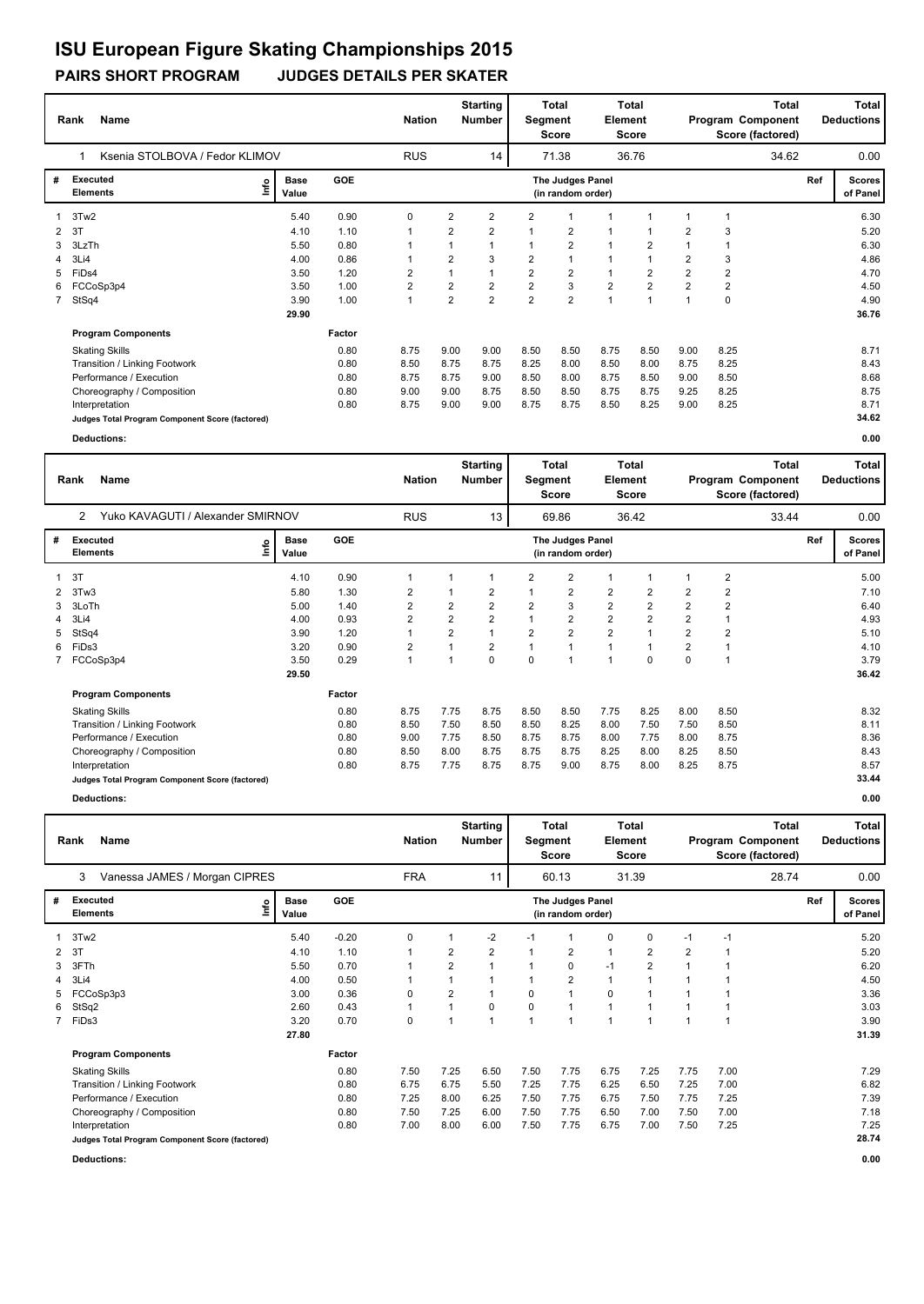#### **PAIRS SHORT PROGRAM JUDGES DETAILS PER SKATER ISU European Figure Skating Championships 2015**

#### **Rank Name Total Nation** Number | Segment Element Program Component Deductions **Total Segment Score Total Element Score Total Score (factored) Starting Number** Ksenia STOLBOVA / Fedor KLIMOV RUS RUS 14 71.38 36.76 **# Executed Elements Base Value GOE Scores The Judges Panel of Panel** 1 5.40 0.90 0 2 2 2 1 1 1 1 1 **Ref**  6.30 1 **(in random order)** 34.62 1 3Tw2<br>2 3T **Info** 14 71.38 36.76 34.62 0.00 2 3T 4.10 1.10 1 2 2 1 2 1 1 2 3 5.20 3 3LzTh 5.50 0.80 1 1 1 1 2 1 2 1 1 6.30 4 3Li4 4.00 0.86 1 2 3 2 1 1 1 2 3 4.86 5 FiDs4 3.50 1.20 2 1 1 2 2 1 2 2 2 4.70 6 FCCoSp3p4 3.50 1.00 2 2 2 2 3 2 2 2 2 4.50 7 StSq4 3.90 1.00 1 2 2 2 2 1 1 1 0 4.90  **29.90 Program Components**  Skating Skills 8.75 9.00 9.00 8.50 8.50 8.75 8.50 9.00 8.25 **Factor** 0.80 8.75 9.00 9.00 8.50 8.50 8.75 8.50 9.00 8.25 8.71  **36.76** Transition / Linking Footwork 0.80 8.50 8.75 8.75 8.25 8.00 8.50 8.00 8.75 8.25 8.43 Performance / Execution 10.80 8.75 8.75 8.75 9.00 8.75 8.00 8.75 8.50 9.00 8.50 8.68<br>Choreography / Composition 10.80 9.00 9.00 8.75 8.50 8.50 8.75 9.25 8.25 8.75 8.75 8.75 Choreography / Composition<br>Interpretation Interpretation 0.80 8.75 9.00 9.00 8.75 8.75 8.50 8.25 9.00 8.25 8.71 **Judges Total Program Component Score (factored) 34.62**

**Deductions: 0.00**

|              | Name<br>Rank                                    |      |                      |        | <b>Nation</b>           |                | <b>Starting</b><br><b>Number</b> | Segment        | Total<br><b>Score</b>                 | Element        | <b>Total</b><br><b>Score</b> |                |                | <b>Total</b><br>Program Component<br>Score (factored) |     | <b>Total</b><br><b>Deductions</b> |
|--------------|-------------------------------------------------|------|----------------------|--------|-------------------------|----------------|----------------------------------|----------------|---------------------------------------|----------------|------------------------------|----------------|----------------|-------------------------------------------------------|-----|-----------------------------------|
|              | Yuko KAVAGUTI / Alexander SMIRNOV<br>2          |      |                      |        | <b>RUS</b>              |                | 13                               |                | 69.86                                 |                | 36.42                        |                |                | 33.44                                                 |     | 0.00                              |
| #            | Executed<br><b>Elements</b>                     | lnfo | <b>Base</b><br>Value | GOE    |                         |                |                                  |                | The Judges Panel<br>(in random order) |                |                              |                |                |                                                       | Ref | <b>Scores</b><br>of Panel         |
| $\mathbf{1}$ | 3T                                              |      | 4.10                 | 0.90   | 1                       |                |                                  | $\overline{2}$ | $\overline{2}$                        | 1              |                              |                | $\overline{2}$ |                                                       |     | 5.00                              |
|              | 2 3Tw3                                          |      | 5.80                 | 1.30   | 2                       |                | $\overline{2}$                   |                | 2                                     | 2              | 2                            | 2              | 2              |                                                       |     | 7.10                              |
| 3            | 3LoTh                                           |      | 5.00                 | 1.40   | 2                       | 2              | $\overline{2}$                   | $\overline{2}$ | 3                                     | $\overline{2}$ | 2                            | $\overline{2}$ | $\overline{2}$ |                                                       |     | 6.40                              |
| 4            | 3Li4                                            |      | 4.00                 | 0.93   | $\overline{2}$          | $\overline{2}$ | $\overline{2}$                   |                | $\overline{2}$                        | $\overline{2}$ | $\overline{2}$               | $\overline{2}$ |                |                                                       |     | 4.93                              |
| 5            | StSq4                                           |      | 3.90                 | 1.20   | 1                       | $\overline{2}$ |                                  | $\overline{2}$ | $\overline{2}$                        | $\overline{2}$ |                              | $\overline{2}$ | $\overline{2}$ |                                                       |     | 5.10                              |
| 6            | FiDs3                                           |      | 3.20                 | 0.90   | $\overline{\mathbf{c}}$ |                | $\overline{2}$                   |                | 1                                     | 1              |                              | 2              |                |                                                       |     | 4.10                              |
| 7            | FCCoSp3p4                                       |      | 3.50                 | 0.29   | 1                       | $\overline{1}$ | $\mathbf 0$                      | $\mathbf 0$    | $\overline{1}$                        | 1              | $\Omega$                     | 0              |                |                                                       |     | 3.79                              |
|              |                                                 |      | 29.50                |        |                         |                |                                  |                |                                       |                |                              |                |                |                                                       |     | 36.42                             |
|              | <b>Program Components</b>                       |      |                      | Factor |                         |                |                                  |                |                                       |                |                              |                |                |                                                       |     |                                   |
|              | <b>Skating Skills</b>                           |      |                      | 0.80   | 8.75                    | 7.75           | 8.75                             | 8.50           | 8.50                                  | 7.75           | 8.25                         | 8.00           | 8.50           |                                                       |     | 8.32                              |
|              | Transition / Linking Footwork                   |      |                      | 0.80   | 8.50                    | 7.50           | 8.50                             | 8.50           | 8.25                                  | 8.00           | 7.50                         | 7.50           | 8.50           |                                                       |     | 8.11                              |
|              | Performance / Execution                         |      |                      | 0.80   | 9.00                    | 7.75           | 8.50                             | 8.75           | 8.75                                  | 8.00           | 7.75                         | 8.00           | 8.75           |                                                       |     | 8.36                              |
|              | Choreography / Composition                      |      |                      | 0.80   | 8.50                    | 8.00           | 8.75                             | 8.75           | 8.75                                  | 8.25           | 8.00                         | 8.25           | 8.50           |                                                       |     | 8.43                              |
|              | Interpretation                                  |      |                      | 0.80   | 8.75                    | 7.75           | 8.75                             | 8.75           | 9.00                                  | 8.75           | 8.00                         | 8.25           | 8.75           |                                                       |     | 8.57                              |
|              | Judges Total Program Component Score (factored) |      |                      |        |                         |                |                                  |                |                                       |                |                              |                |                |                                                       |     | 33.44                             |
|              | Deductions:                                     |      |                      |        |                         |                |                                  |                |                                       |                |                              |                |                |                                                       |     | 0.00                              |

|   | Rank                        | Name                                            |                      |         | <b>Nation</b> |                | <b>Starting</b><br><b>Number</b> | Segment | <b>Total</b><br><b>Score</b>          | Element      | <b>Total</b><br><b>Score</b> |      |      | Total<br>Program Component<br>Score (factored) |     | Total<br><b>Deductions</b> |
|---|-----------------------------|-------------------------------------------------|----------------------|---------|---------------|----------------|----------------------------------|---------|---------------------------------------|--------------|------------------------------|------|------|------------------------------------------------|-----|----------------------------|
|   | 3                           | Vanessa JAMES / Morgan CIPRES                   |                      |         | <b>FRA</b>    |                | 11                               |         | 60.13                                 |              | 31.39                        |      |      | 28.74                                          |     | 0.00                       |
| # | Executed<br><b>Elements</b> | ۴ů                                              | <b>Base</b><br>Value | GOE     |               |                |                                  |         | The Judges Panel<br>(in random order) |              |                              |      |      |                                                | Ref | <b>Scores</b><br>of Panel  |
|   | 3Tw2                        |                                                 | 5.40                 | $-0.20$ | 0             |                | $-2$                             | $-1$    |                                       | 0            | 0                            | $-1$ | $-1$ |                                                |     | 5.20                       |
| 2 | 3T                          |                                                 | 4.10                 | 1.10    | $\mathbf 1$   | $\overline{2}$ | $\overline{2}$                   | 1       | $\overline{2}$                        | $\mathbf{1}$ | $\overline{2}$               | 2    |      |                                                |     | 5.20                       |
| 3 | 3FTh                        |                                                 | 5.50                 | 0.70    |               | $\overline{2}$ |                                  |         | 0                                     | $-1$         | $\overline{2}$               |      |      |                                                |     | 6.20                       |
|   | 3Li4                        |                                                 | 4.00                 | 0.50    |               |                |                                  |         | $\overline{2}$                        | $\mathbf{1}$ | 1                            |      |      |                                                |     | 4.50                       |
| 5 |                             | FCCoSp3p3                                       | 3.00                 | 0.36    | 0             | 2              |                                  | 0       | 1                                     | $\Omega$     | $\overline{ }$               |      |      |                                                |     | 3.36                       |
| 6 | StSq2                       |                                                 | 2.60                 | 0.43    | 1             |                | $\Omega$                         | 0       | 1                                     | $\mathbf{1}$ | $\overline{1}$               |      |      |                                                |     | 3.03                       |
|   | 7 FiDs3                     |                                                 | 3.20                 | 0.70    | $\mathbf 0$   |                |                                  | 1       | 1                                     | $\mathbf{1}$ | $\overline{1}$               | 1    |      |                                                |     | 3.90                       |
|   |                             |                                                 | 27.80                |         |               |                |                                  |         |                                       |              |                              |      |      |                                                |     | 31.39                      |
|   |                             | <b>Program Components</b>                       |                      | Factor  |               |                |                                  |         |                                       |              |                              |      |      |                                                |     |                            |
|   |                             | <b>Skating Skills</b>                           |                      | 0.80    | 7.50          | 7.25           | 6.50                             | 7.50    | 7.75                                  | 6.75         | 7.25                         | 7.75 | 7.00 |                                                |     | 7.29                       |
|   |                             | Transition / Linking Footwork                   |                      | 0.80    | 6.75          | 6.75           | 5.50                             | 7.25    | 7.75                                  | 6.25         | 6.50                         | 7.25 | 7.00 |                                                |     | 6.82                       |
|   |                             | Performance / Execution                         |                      | 0.80    | 7.25          | 8.00           | 6.25                             | 7.50    | 7.75                                  | 6.75         | 7.50                         | 7.75 | 7.25 |                                                |     | 7.39                       |
|   |                             | Choreography / Composition                      |                      | 0.80    | 7.50          | 7.25           | 6.00                             | 7.50    | 7.75                                  | 6.50         | 7.00                         | 7.50 | 7.00 |                                                |     | 7.18                       |
|   |                             | Interpretation                                  |                      | 0.80    | 7.00          | 8.00           | 6.00                             | 7.50    | 7.75                                  | 6.75         | 7.00                         | 7.50 | 7.25 |                                                |     | 7.25                       |
|   |                             | Judges Total Program Component Score (factored) |                      |         |               |                |                                  |         |                                       |              |                              |      |      |                                                |     | 28.74                      |

**Deductions: 0.00**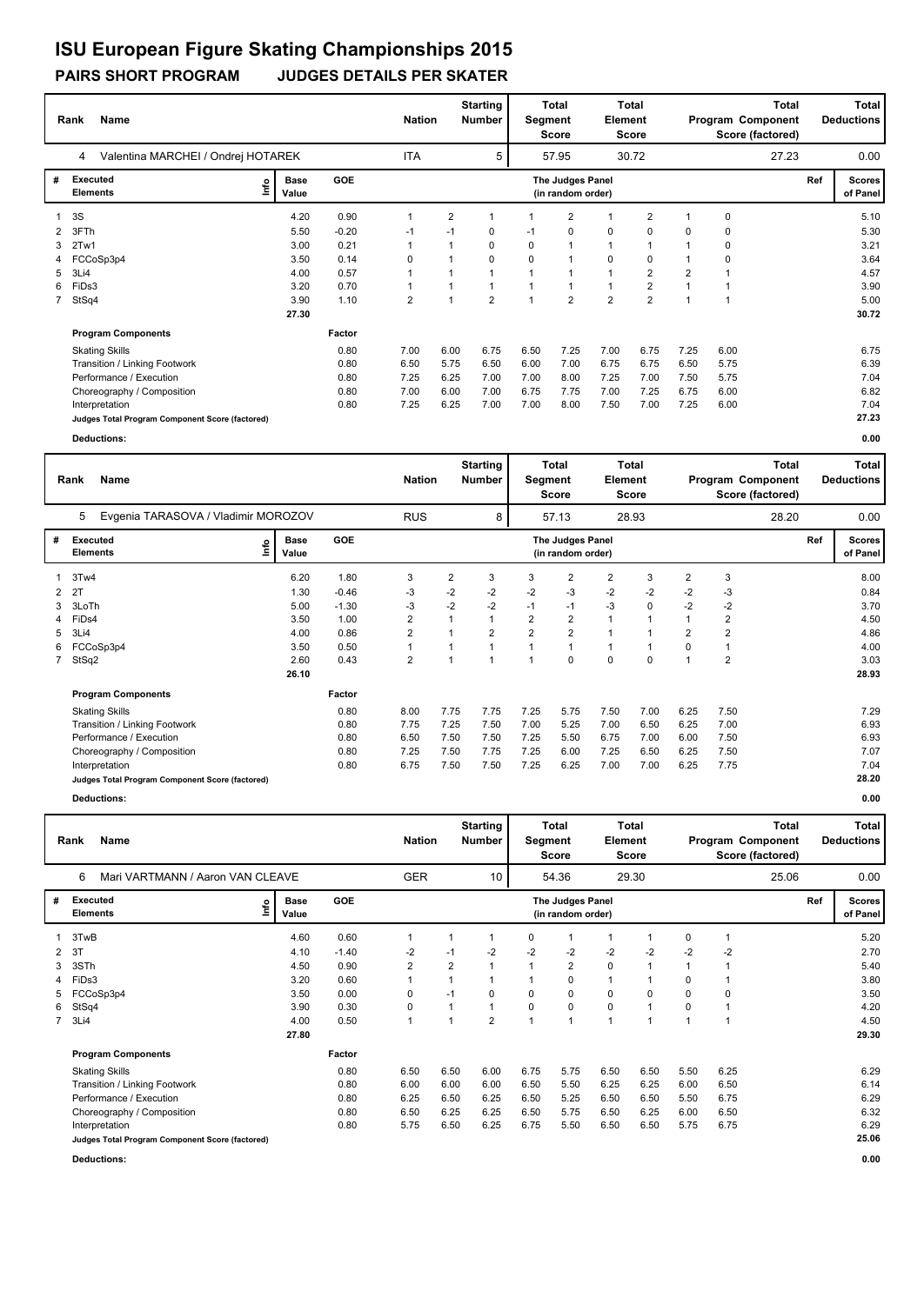## **ISU European Figure Skating Championships 2015**

#### **PAIRS SHORT PROGRAM JUDGES DETAILS PER SKATER**

|    | <b>Name</b><br>Rank                             |                      | <b>Nation</b> |                | <b>Starting</b><br><b>Number</b> | Segment        | <b>Total</b><br>Score | <b>Element</b>                        | <b>Total</b><br>Score |                         |                | Total<br>Program Component<br>Score (factored) |       | Total<br><b>Deductions</b> |                           |
|----|-------------------------------------------------|----------------------|---------------|----------------|----------------------------------|----------------|-----------------------|---------------------------------------|-----------------------|-------------------------|----------------|------------------------------------------------|-------|----------------------------|---------------------------|
|    | Valentina MARCHEI / Ondrej HOTAREK<br>4         |                      |               | <b>ITA</b>     |                                  | 5              |                       | 57.95                                 |                       | 30.72                   |                |                                                | 27.23 |                            | 0.00                      |
| #  | Executed<br>١nf٥<br><b>Elements</b>             | <b>Base</b><br>Value | <b>GOE</b>    |                |                                  |                |                       | The Judges Panel<br>(in random order) |                       |                         |                |                                                |       | Ref                        | <b>Scores</b><br>of Panel |
|    | 3S                                              | 4.20                 | 0.90          | 1              | $\overline{2}$                   |                |                       | $\overline{2}$                        |                       | $\overline{2}$          | 1              | 0                                              |       |                            | 5.10                      |
|    | 3FTh                                            | 5.50                 | $-0.20$       | $-1$           | $-1$                             | 0              | $-1$                  | 0                                     | 0                     | 0                       | 0              | 0                                              |       |                            | 5.30                      |
| 3  | 2Tw1                                            | 3.00                 | 0.21          | 1              |                                  | 0              | 0                     | $\mathbf 1$                           | $\mathbf{1}$          |                         |                | 0                                              |       |                            | 3.21                      |
|    | FCCoSp3p4                                       | 3.50                 | 0.14          | 0              |                                  | 0              | 0                     | -1                                    | $\mathbf 0$           | 0                       |                | 0                                              |       |                            | 3.64                      |
| 5. | 3Li4                                            | 4.00                 | 0.57          | 1              |                                  |                |                       |                                       | 1                     | $\overline{2}$          | $\overline{2}$ |                                                |       |                            | 4.57                      |
| 6  | FiDs3                                           | 3.20                 | 0.70          | 1              |                                  |                |                       |                                       | 1                     | $\overline{\mathbf{c}}$ |                |                                                |       |                            | 3.90                      |
|    | 7 StSq4                                         | 3.90                 | 1.10          | $\overline{2}$ |                                  | $\overline{2}$ |                       | $\overline{2}$                        | $\overline{2}$        | $\overline{2}$          | $\overline{ }$ |                                                |       |                            | 5.00                      |
|    |                                                 | 27.30                |               |                |                                  |                |                       |                                       |                       |                         |                |                                                |       |                            | 30.72                     |
|    | <b>Program Components</b>                       |                      | Factor        |                |                                  |                |                       |                                       |                       |                         |                |                                                |       |                            |                           |
|    | <b>Skating Skills</b>                           |                      | 0.80          | 7.00           | 6.00                             | 6.75           | 6.50                  | 7.25                                  | 7.00                  | 6.75                    | 7.25           | 6.00                                           |       |                            | 6.75                      |
|    | Transition / Linking Footwork                   |                      | 0.80          | 6.50           | 5.75                             | 6.50           | 6.00                  | 7.00                                  | 6.75                  | 6.75                    | 6.50           | 5.75                                           |       |                            | 6.39                      |
|    | Performance / Execution                         |                      | 0.80          | 7.25           | 6.25                             | 7.00           | 7.00                  | 8.00                                  | 7.25                  | 7.00                    | 7.50           | 5.75                                           |       |                            | 7.04                      |
|    | Choreography / Composition                      |                      | 0.80          | 7.00           | 6.00                             | 7.00           | 6.75                  | 7.75                                  | 7.00                  | 7.25                    | 6.75           | 6.00                                           |       |                            | 6.82                      |
|    | Interpretation                                  |                      | 0.80          | 7.25           | 6.25                             | 7.00           | 7.00                  | 8.00                                  | 7.50                  | 7.00                    | 7.25           | 6.00                                           |       |                            | 7.04                      |
|    | Judges Total Program Component Score (factored) |                      |               |                |                                  |                |                       |                                       |                       |                         |                |                                                |       |                            | 27.23                     |
|    | Deductions:                                     |                      |               |                |                                  |                |                       |                                       |                       |                         |                |                                                |       |                            | 0.00                      |

|   | <b>Name</b><br>Rank                             |      |                      |         | <b>Nation</b>  |                | <b>Starting</b><br>Number | Segment        | Total<br><b>Score</b>                 | Element  | Total<br>Score |                |                | <b>Total</b><br>Program Component<br>Score (factored) |     | <b>Total</b><br><b>Deductions</b> |
|---|-------------------------------------------------|------|----------------------|---------|----------------|----------------|---------------------------|----------------|---------------------------------------|----------|----------------|----------------|----------------|-------------------------------------------------------|-----|-----------------------------------|
|   | Evgenia TARASOVA / Vladimir MOROZOV<br>5        |      |                      |         | <b>RUS</b>     |                | 8                         |                | 57.13                                 |          | 28.93          |                |                | 28.20                                                 |     | 0.00                              |
| # | Executed<br><b>Elements</b>                     | lnfo | <b>Base</b><br>Value | GOE     |                |                |                           |                | The Judges Panel<br>(in random order) |          |                |                |                |                                                       | Ref | <b>Scores</b><br>of Panel         |
|   | 3Tw4                                            |      | 6.20                 | 1.80    | 3              | $\overline{2}$ | 3                         | 3              | 2                                     | 2        | 3              | $\overline{2}$ | 3              |                                                       |     | 8.00                              |
| 2 | 2T                                              |      | 1.30                 | $-0.46$ | $-3$           | $-2$           | $-2$                      | $-2$           | $-3$                                  | $-2$     | $-2$           | $-2$           | -3             |                                                       |     | 0.84                              |
| 3 | 3LoTh                                           |      | 5.00                 | $-1.30$ | -3             | $-2$           | $-2$                      | $-1$           | $-1$                                  | $-3$     | 0              | $-2$           | $-2$           |                                                       |     | 3.70                              |
| 4 | FiDs4                                           |      | 3.50                 | 1.00    | 2              | 1              |                           | 2              | $\overline{\mathbf{c}}$               |          |                |                | 2              |                                                       |     | 4.50                              |
| 5 | 3Li4                                            |      | 4.00                 | 0.86    | 2              | 1              | $\overline{2}$            | $\overline{2}$ | $\overline{2}$                        |          |                | $\overline{2}$ | $\overline{2}$ |                                                       |     | 4.86                              |
| 6 | FCCoSp3p4                                       |      | 3.50                 | 0.50    |                | 1              |                           |                | 1                                     |          |                | 0              |                |                                                       |     | 4.00                              |
|   | 7 StSq2                                         |      | 2.60                 | 0.43    | $\overline{2}$ | 1              | 1                         | 1              | 0                                     | $\Omega$ | $\Omega$       |                | $\overline{2}$ |                                                       |     | 3.03                              |
|   |                                                 |      | 26.10                |         |                |                |                           |                |                                       |          |                |                |                |                                                       |     | 28.93                             |
|   | <b>Program Components</b>                       |      |                      | Factor  |                |                |                           |                |                                       |          |                |                |                |                                                       |     |                                   |
|   | <b>Skating Skills</b>                           |      |                      | 0.80    | 8.00           | 7.75           | 7.75                      | 7.25           | 5.75                                  | 7.50     | 7.00           | 6.25           | 7.50           |                                                       |     | 7.29                              |
|   | Transition / Linking Footwork                   |      |                      | 0.80    | 7.75           | 7.25           | 7.50                      | 7.00           | 5.25                                  | 7.00     | 6.50           | 6.25           | 7.00           |                                                       |     | 6.93                              |
|   | Performance / Execution                         |      |                      | 0.80    | 6.50           | 7.50           | 7.50                      | 7.25           | 5.50                                  | 6.75     | 7.00           | 6.00           | 7.50           |                                                       |     | 6.93                              |
|   | Choreography / Composition                      |      |                      | 0.80    | 7.25           | 7.50           | 7.75                      | 7.25           | 6.00                                  | 7.25     | 6.50           | 6.25           | 7.50           |                                                       |     | 7.07                              |
|   | Interpretation                                  |      |                      | 0.80    | 6.75           | 7.50           | 7.50                      | 7.25           | 6.25                                  | 7.00     | 7.00           | 6.25           | 7.75           |                                                       |     | 7.04                              |
|   | Judges Total Program Component Score (factored) |      |                      |         |                |                |                           |                |                                       |          |                |                |                |                                                       |     | 28.20                             |
|   | Deductions:                                     |      |                      |         |                |                |                           |                |                                       |          |                |                |                |                                                       |     | 0.00                              |

|                | <b>Name</b><br>Rank                             |      |                      |         |                | <b>Nation</b> |                | <b>Starting</b><br><b>Number</b> | Segment      | Total<br><b>Score</b>                 | Element        | Total<br>Score |      |                | Total<br>Program Component<br>Score (factored) |     | Total<br><b>Deductions</b> |
|----------------|-------------------------------------------------|------|----------------------|---------|----------------|---------------|----------------|----------------------------------|--------------|---------------------------------------|----------------|----------------|------|----------------|------------------------------------------------|-----|----------------------------|
|                | Mari VARTMANN / Aaron VAN CLEAVE<br>6           |      |                      |         |                | <b>GER</b>    |                | 10                               |              | 54.36                                 |                | 29.30          |      |                | 25.06                                          |     | 0.00                       |
| #              | <b>Executed</b><br><b>Elements</b>              | lnfo | <b>Base</b><br>Value | GOE     |                |               |                |                                  |              | The Judges Panel<br>(in random order) |                |                |      |                |                                                | Ref | <b>Scores</b><br>of Panel  |
|                | 3TwB                                            |      | 4.60                 | 0.60    | 1              |               |                |                                  | 0            | 1                                     | $\mathbf{1}$   |                | 0    | $\mathbf 1$    |                                                |     | 5.20                       |
| 2              | 3T                                              |      | 4.10                 | $-1.40$ | $-2$           |               | $-1$           | $-2$                             | $-2$         | $-2$                                  | $-2$           | $-2$           | $-2$ | $-2$           |                                                |     | 2.70                       |
| 3              | 3STh                                            |      | 4.50                 | 0.90    | $\overline{2}$ |               | $\overline{2}$ | 1                                | $\mathbf{1}$ | $\overline{2}$                        | $\mathbf 0$    |                |      | $\overline{1}$ |                                                |     | 5.40                       |
| 4              | FiDs3                                           |      | 3.20                 | 0.60    | 1              |               |                |                                  |              | $\Omega$                              | $\mathbf{1}$   |                | 0    |                |                                                |     | 3.80                       |
| 5              | FCCoSp3p4                                       |      | 3.50                 | 0.00    | 0              |               | $-1$           | $\Omega$                         | 0            | 0                                     | $\mathbf 0$    | 0              | 0    | 0              |                                                |     | 3.50                       |
| 6              | StSq4                                           |      | 3.90                 | 0.30    | 0              |               |                | 1                                | 0            | 0                                     | 0              |                | 0    | $\overline{1}$ |                                                |     | 4.20                       |
| $\overline{7}$ | 3Li4                                            |      | 4.00                 | 0.50    | 1              |               |                | $\overline{2}$                   |              | 1                                     | $\overline{ }$ |                |      | $\overline{1}$ |                                                |     | 4.50                       |
|                |                                                 |      | 27.80                |         |                |               |                |                                  |              |                                       |                |                |      |                |                                                |     | 29.30                      |
|                | <b>Program Components</b>                       |      |                      | Factor  |                |               |                |                                  |              |                                       |                |                |      |                |                                                |     |                            |
|                | <b>Skating Skills</b>                           |      |                      | 0.80    | 6.50           |               | 6.50           | 6.00                             | 6.75         | 5.75                                  | 6.50           | 6.50           | 5.50 | 6.25           |                                                |     | 6.29                       |
|                | Transition / Linking Footwork                   |      |                      | 0.80    | 6.00           |               | 6.00           | 6.00                             | 6.50         | 5.50                                  | 6.25           | 6.25           | 6.00 | 6.50           |                                                |     | 6.14                       |
|                | Performance / Execution                         |      |                      | 0.80    | 6.25           |               | 6.50           | 6.25                             | 6.50         | 5.25                                  | 6.50           | 6.50           | 5.50 | 6.75           |                                                |     | 6.29                       |
|                | Choreography / Composition                      |      |                      | 0.80    | 6.50           |               | 6.25           | 6.25                             | 6.50         | 5.75                                  | 6.50           | 6.25           | 6.00 | 6.50           |                                                |     | 6.32                       |
|                | Interpretation                                  |      |                      | 0.80    | 5.75           |               | 6.50           | 6.25                             | 6.75         | 5.50                                  | 6.50           | 6.50           | 5.75 | 6.75           |                                                |     | 6.29                       |
|                | Judges Total Program Component Score (factored) |      |                      |         |                |               |                |                                  |              |                                       |                |                |      |                |                                                |     | 25.06                      |

**Deductions: 0.00**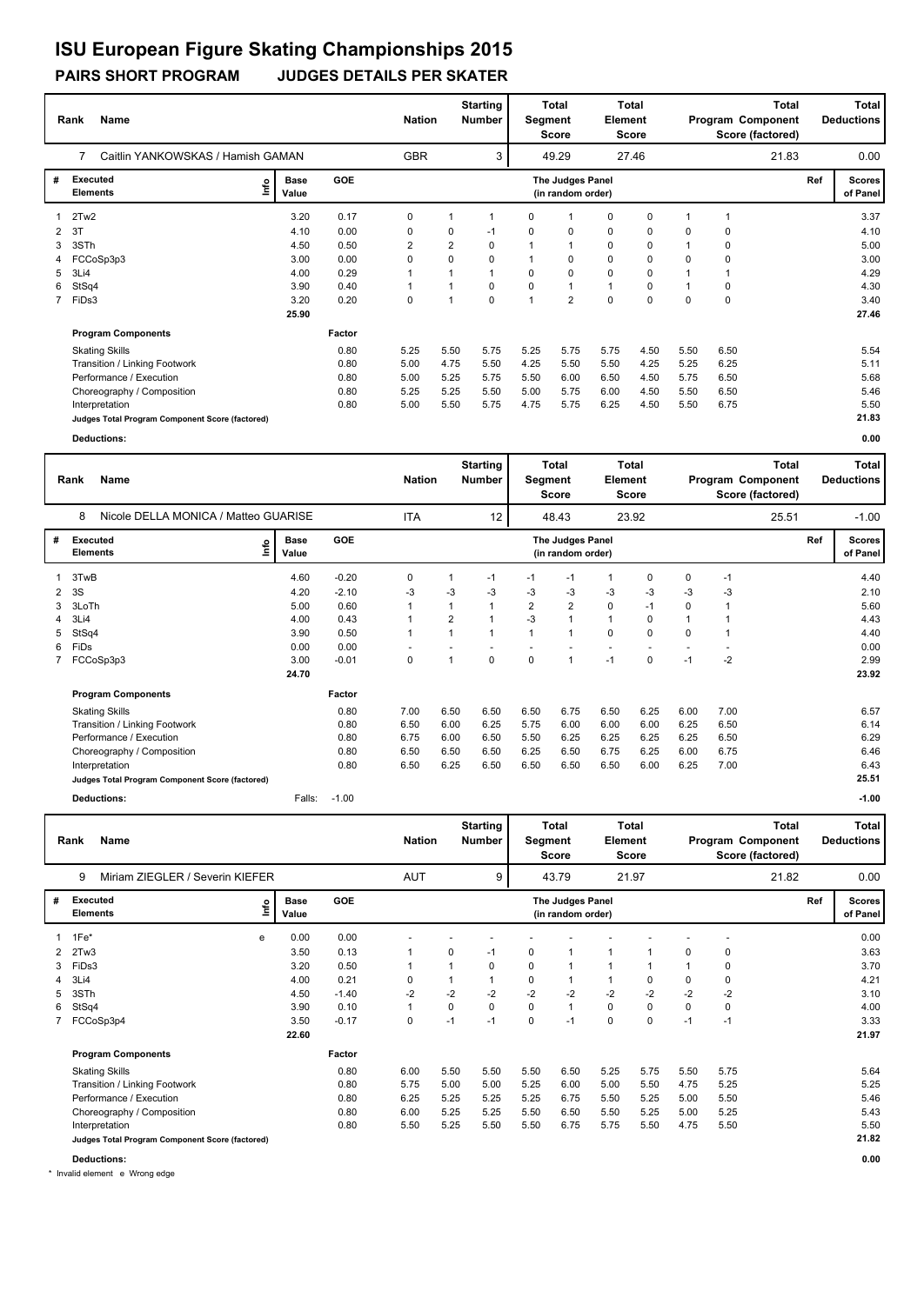# **ISU European Figure Skating Championships 2015**

### **PAIRS SHORT PROGRAM JUDGES DETAILS PER SKATER**

|   | Name<br>Rank                                    | Caitlin YANKOWSKAS / Hamish GAMAN |        |            |      |          | Segment        | <b>Total</b><br>Score                 | Element     | Total<br><b>Score</b> |             |             | <b>Total</b><br>Program Component<br>Score (factored) |     | Total<br><b>Deductions</b> |
|---|-------------------------------------------------|-----------------------------------|--------|------------|------|----------|----------------|---------------------------------------|-------------|-----------------------|-------------|-------------|-------------------------------------------------------|-----|----------------------------|
|   | 7                                               |                                   |        | <b>GBR</b> |      | 3        |                | 49.29                                 |             | 27.46                 |             |             | 21.83                                                 |     | 0.00                       |
| # | Executed<br>١nf٥<br><b>Elements</b>             | <b>Base</b><br>Value              | GOE    |            |      |          |                | The Judges Panel<br>(in random order) |             |                       |             |             |                                                       | Ref | <b>Scores</b><br>of Panel  |
| 1 | 2Tw2                                            | 3.20                              | 0.17   | 0          |      |          | 0              |                                       | 0           | 0                     |             |             |                                                       |     | 3.37                       |
| 2 | -3T                                             | 4.10                              | 0.00   | 0          | 0    | $-1$     | 0              | 0                                     | 0           | 0                     | 0           | 0           |                                                       |     | 4.10                       |
| 3 | 3STh                                            | 4.50                              | 0.50   | 2          | 2    | 0        |                | $\mathbf{1}$                          | 0           | 0                     |             | $\mathbf 0$ |                                                       |     | 5.00                       |
|   | FCCoSp3p3                                       | 3.00                              | 0.00   | $\Omega$   | 0    | 0        |                | 0                                     | $\mathbf 0$ | 0                     | $\Omega$    | 0           |                                                       |     | 3.00                       |
| 5 | 3Li4                                            | 4.00                              | 0.29   | 1          |      |          | 0              | 0                                     | 0           | 0                     |             |             |                                                       |     | 4.29                       |
| 6 | StSq4                                           | 3.90                              | 0.40   | 1          |      | 0        | 0              | $\mathbf{1}$                          | 1           | 0                     | 1           | 0           |                                                       |     | 4.30                       |
|   | 7 FiDs3                                         | 3.20                              | 0.20   | 0          |      | $\Omega$ | $\overline{1}$ | $\overline{2}$                        | $\mathbf 0$ | $\Omega$              | $\mathbf 0$ | $\mathbf 0$ |                                                       |     | 3.40                       |
|   |                                                 | 25.90                             |        |            |      |          |                |                                       |             |                       |             |             |                                                       |     | 27.46                      |
|   | <b>Program Components</b>                       |                                   | Factor |            |      |          |                |                                       |             |                       |             |             |                                                       |     |                            |
|   | <b>Skating Skills</b>                           |                                   | 0.80   | 5.25       | 5.50 | 5.75     | 5.25           | 5.75                                  | 5.75        | 4.50                  | 5.50        | 6.50        |                                                       |     | 5.54                       |
|   | Transition / Linking Footwork                   |                                   | 0.80   | 5.00       | 4.75 | 5.50     | 4.25           | 5.50                                  | 5.50        | 4.25                  | 5.25        | 6.25        |                                                       |     | 5.11                       |
|   | Performance / Execution                         |                                   | 0.80   | 5.00       | 5.25 | 5.75     | 5.50           | 6.00                                  | 6.50        | 4.50                  | 5.75        | 6.50        |                                                       |     | 5.68                       |
|   | Choreography / Composition                      |                                   | 0.80   | 5.25       | 5.25 | 5.50     | 5.00           | 5.75                                  | 6.00        | 4.50                  | 5.50        | 6.50        |                                                       |     | 5.46                       |
|   | Interpretation                                  |                                   | 0.80   | 5.00       | 5.50 | 5.75     | 4.75           | 5.75                                  | 6.25        | 4.50                  | 5.50        | 6.75        |                                                       |     | 5.50                       |
|   | Judges Total Program Component Score (factored) |                                   |        |            |      |          |                |                                       |             |                       |             |             |                                                       |     | 21.83                      |
|   | Deductions:                                     |                                   |        |            |      |          |                |                                       |             |                       |             |             |                                                       |     | 0.00                       |

|   | Name<br>Rank                                    |                              |         | <b>Nation</b> |      | <b>Starting</b><br>Number | Segment        | Total<br><b>Score</b>                 | Element      | <b>Total</b><br><b>Score</b> |          |      | Total<br>Program Component<br>Score (factored) |     | <b>Total</b><br><b>Deductions</b> |
|---|-------------------------------------------------|------------------------------|---------|---------------|------|---------------------------|----------------|---------------------------------------|--------------|------------------------------|----------|------|------------------------------------------------|-----|-----------------------------------|
|   | 8<br>Nicole DELLA MONICA / Matteo GUARISE       |                              |         | <b>ITA</b>    |      | 12                        |                | 48.43                                 |              | 23.92                        |          |      | 25.51                                          |     | $-1.00$                           |
| # | <b>Executed</b><br><b>Elements</b>              | <b>Base</b><br>lnfo<br>Value | GOE     |               |      |                           |                | The Judges Panel<br>(in random order) |              |                              |          |      |                                                | Ref | <b>Scores</b><br>of Panel         |
|   | 3TwB                                            | 4.60                         | $-0.20$ | 0             |      | $-1$                      | -1             | $-1$                                  | 1            | 0                            | 0        | $-1$ |                                                |     | 4.40                              |
| 2 | 3S                                              | 4.20                         | $-2.10$ | -3            | $-3$ | $-3$                      | $-3$           | $-3$                                  | -3           | $-3$                         | $-3$     | $-3$ |                                                |     | 2.10                              |
| 3 | 3LoTh                                           | 5.00                         | 0.60    |               |      | $\mathbf{1}$              | $\overline{2}$ | $\overline{2}$                        | 0            | $-1$                         | $\Omega$ |      |                                                |     | 5.60                              |
| 4 | 3Li4                                            | 4.00                         | 0.43    |               | 2    | $\mathbf{1}$              | $-3$           | $\mathbf{1}$                          | $\mathbf{1}$ | 0                            |          |      |                                                |     | 4.43                              |
| 5 | StSq4                                           | 3.90                         | 0.50    |               | 1    | $\overline{1}$            |                | $\mathbf 1$                           | $\Omega$     | $\Omega$                     | 0        |      |                                                |     | 4.40                              |
| 6 | FiDs                                            | 0.00                         | 0.00    |               |      |                           |                |                                       |              |                              |          |      |                                                |     | 0.00                              |
|   | 7 FCCoSp3p3                                     | 3.00                         | $-0.01$ | 0             | 1    | $\mathbf 0$               | $\mathbf 0$    | $\mathbf{1}$                          | $-1$         | 0                            | $-1$     | $-2$ |                                                |     | 2.99                              |
|   |                                                 | 24.70                        |         |               |      |                           |                |                                       |              |                              |          |      |                                                |     | 23.92                             |
|   | <b>Program Components</b>                       |                              | Factor  |               |      |                           |                |                                       |              |                              |          |      |                                                |     |                                   |
|   | <b>Skating Skills</b>                           |                              | 0.80    | 7.00          | 6.50 | 6.50                      | 6.50           | 6.75                                  | 6.50         | 6.25                         | 6.00     | 7.00 |                                                |     | 6.57                              |
|   | Transition / Linking Footwork                   |                              | 0.80    | 6.50          | 6.00 | 6.25                      | 5.75           | 6.00                                  | 6.00         | 6.00                         | 6.25     | 6.50 |                                                |     | 6.14                              |
|   | Performance / Execution                         |                              | 0.80    | 6.75          | 6.00 | 6.50                      | 5.50           | 6.25                                  | 6.25         | 6.25                         | 6.25     | 6.50 |                                                |     | 6.29                              |
|   | Choreography / Composition                      |                              | 0.80    | 6.50          | 6.50 | 6.50                      | 6.25           | 6.50                                  | 6.75         | 6.25                         | 6.00     | 6.75 |                                                |     | 6.46                              |
|   | Interpretation                                  |                              | 0.80    | 6.50          | 6.25 | 6.50                      | 6.50           | 6.50                                  | 6.50         | 6.00                         | 6.25     | 7.00 |                                                |     | 6.43                              |
|   | Judges Total Program Component Score (factored) |                              |         |               |      |                           |                |                                       |              |                              |          |      |                                                |     | 25.51                             |
|   | <b>Deductions:</b>                              | Falls:                       | $-1.00$ |               |      |                           |                |                                       |              |                              |          |      |                                                |     | $-1.00$                           |

|   | Rank<br>Name                                    |      |                      |            | <b>Nation</b> |      | <b>Starting</b><br><b>Number</b> | Segment  | <b>Total</b><br>Score                 | <b>Element</b> | <b>Total</b><br>Score |          |             | Total<br>Program Component<br>Score (factored) |     | Total<br><b>Deductions</b> |
|---|-------------------------------------------------|------|----------------------|------------|---------------|------|----------------------------------|----------|---------------------------------------|----------------|-----------------------|----------|-------------|------------------------------------------------|-----|----------------------------|
|   | Miriam ZIEGLER / Severin KIEFER<br>9            |      |                      |            | <b>AUT</b>    |      | 9                                |          | 43.79                                 |                | 21.97                 |          |             | 21.82                                          |     | 0.00                       |
| # | Executed<br><b>Elements</b>                     | Lnfo | <b>Base</b><br>Value | <b>GOE</b> |               |      |                                  |          | The Judges Panel<br>(in random order) |                |                       |          |             |                                                | Ref | <b>Scores</b><br>of Panel  |
|   | 1Fe*                                            | e    | 0.00                 | 0.00       |               |      |                                  |          |                                       |                |                       |          |             |                                                |     | 0.00                       |
|   | 2 2Tw3                                          |      | 3.50                 | 0.13       |               | 0    | $-1$                             | 0        |                                       | 1              |                       | 0        | 0           |                                                |     | 3.63                       |
| 3 | FiDs3                                           |      | 3.20                 | 0.50       | 1             |      | 0                                | 0        |                                       |                |                       |          | 0           |                                                |     | 3.70                       |
|   | 3Li4                                            |      | 4.00                 | 0.21       | 0             |      |                                  | 0        |                                       | 1              | 0                     | 0        | 0           |                                                |     | 4.21                       |
| 5 | 3STh                                            |      | 4.50                 | $-1.40$    | $-2$          | $-2$ | $-2$                             | $-2$     | $-2$                                  | $-2$           | $-2$                  | $-2$     | $-2$        |                                                |     | 3.10                       |
| 6 | StSq4                                           |      | 3.90                 | 0.10       | $\mathbf{1}$  | 0    | 0                                | $\Omega$ | $\mathbf{1}$                          | $\mathbf 0$    | $\mathbf 0$           | $\Omega$ | $\mathbf 0$ |                                                |     | 4.00                       |
|   | FCCoSp3p4                                       |      | 3.50                 | $-0.17$    | 0             | $-1$ | $-1$                             | $\Omega$ | $-1$                                  | $\mathbf 0$    | $\mathbf 0$           | $-1$     | $-1$        |                                                |     | 3.33                       |
|   |                                                 |      | 22.60                |            |               |      |                                  |          |                                       |                |                       |          |             |                                                |     | 21.97                      |
|   | <b>Program Components</b>                       |      |                      | Factor     |               |      |                                  |          |                                       |                |                       |          |             |                                                |     |                            |
|   | <b>Skating Skills</b>                           |      |                      | 0.80       | 6.00          | 5.50 | 5.50                             | 5.50     | 6.50                                  | 5.25           | 5.75                  | 5.50     | 5.75        |                                                |     | 5.64                       |
|   | Transition / Linking Footwork                   |      |                      | 0.80       | 5.75          | 5.00 | 5.00                             | 5.25     | 6.00                                  | 5.00           | 5.50                  | 4.75     | 5.25        |                                                |     | 5.25                       |
|   | Performance / Execution                         |      |                      | 0.80       | 6.25          | 5.25 | 5.25                             | 5.25     | 6.75                                  | 5.50           | 5.25                  | 5.00     | 5.50        |                                                |     | 5.46                       |
|   | Choreography / Composition                      |      |                      | 0.80       | 6.00          | 5.25 | 5.25                             | 5.50     | 6.50                                  | 5.50           | 5.25                  | 5.00     | 5.25        |                                                |     | 5.43                       |
|   | Interpretation                                  |      |                      | 0.80       | 5.50          | 5.25 | 5.50                             | 5.50     | 6.75                                  | 5.75           | 5.50                  | 4.75     | 5.50        |                                                |     | 5.50                       |
|   | Judges Total Program Component Score (factored) |      |                      |            |               |      |                                  |          |                                       |                |                       |          |             |                                                |     | 21.82                      |
|   | <b>Deductions:</b>                              |      |                      |            |               |      |                                  |          |                                       |                |                       |          |             |                                                |     | 0.00                       |

\* Invalid element e Wrong edge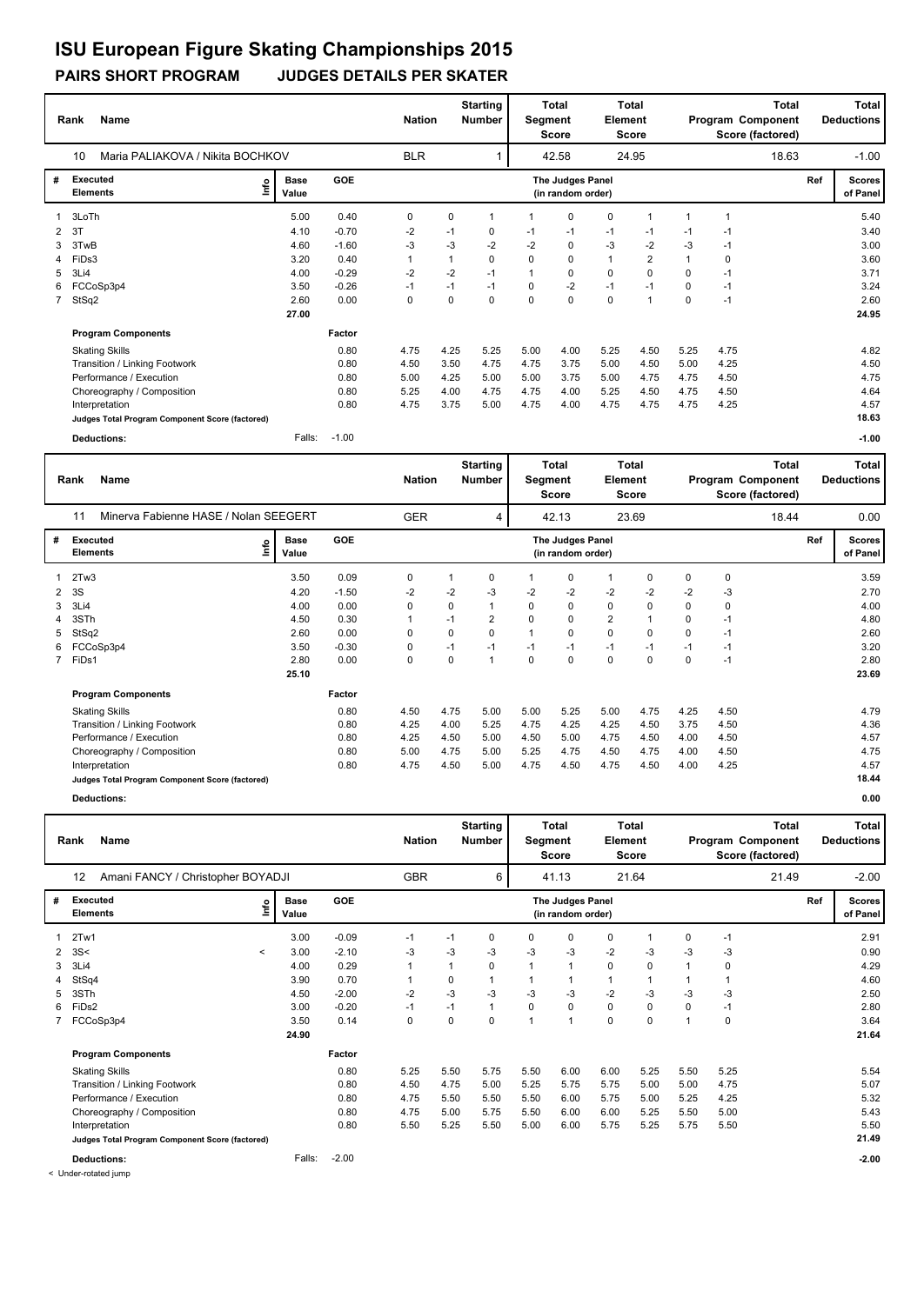### **PAIRS SHORT PROGRAM JUDGES DETAILS PER SKATER ISU European Figure Skating Championships 2015**

|             | <b>Name</b><br>Rank                             |                      |            | <b>Nation</b> |             | <b>Starting</b><br><b>Number</b> | Segment  | <b>Total</b><br><b>Score</b>          | Element     | Total<br><b>Score</b> |          |      | Total<br>Program Component<br>Score (factored) |     | <b>Total</b><br><b>Deductions</b> |
|-------------|-------------------------------------------------|----------------------|------------|---------------|-------------|----------------------------------|----------|---------------------------------------|-------------|-----------------------|----------|------|------------------------------------------------|-----|-----------------------------------|
|             | Maria PALIAKOVA / Nikita BOCHKOV<br>10          |                      |            | <b>BLR</b>    |             |                                  |          | 42.58                                 |             | 24.95                 |          |      | 18.63                                          |     | $-1.00$                           |
| #           | Executed<br>lnfo<br><b>Elements</b>             | <b>Base</b><br>Value | <b>GOE</b> |               |             |                                  |          | The Judges Panel<br>(in random order) |             |                       |          |      |                                                | Ref | <b>Scores</b><br>of Panel         |
|             | 3LoTh                                           | 5.00                 | 0.40       | 0             | $\mathbf 0$ | $\mathbf 1$                      |          | $\mathbf 0$                           | $\mathbf 0$ | 1                     |          | 1    |                                                |     | 5.40                              |
| 2           | 3T                                              | 4.10                 | $-0.70$    | $-2$          | $-1$        | 0                                | -1       | $-1$                                  | $-1$        | $-1$                  | $-1$     | -1   |                                                |     | 3.40                              |
| 3           | 3TwB                                            | 4.60                 | $-1.60$    | $-3$          | $-3$        | $-2$                             | $-2$     | $\mathbf 0$                           | $-3$        | $-2$                  | -3       | $-1$ |                                                |     | 3.00                              |
| 4           | FiDs3                                           | 3.20                 | 0.40       | $\mathbf{1}$  |             | $\Omega$                         | $\Omega$ | $\mathbf 0$                           | 1           | $\overline{2}$        |          | 0    |                                                |     | 3.60                              |
| 5           | 3Li4                                            | 4.00                 | $-0.29$    | $-2$          | $-2$        | $-1$                             |          | 0                                     | $\mathbf 0$ | 0                     | 0        | $-1$ |                                                |     | 3.71                              |
| 6           | FCCoSp3p4                                       | 3.50                 | $-0.26$    | $-1$          | $-1$        | $-1$                             | 0        | $-2$                                  | $-1$        | $-1$                  | $\Omega$ | $-1$ |                                                |     | 3.24                              |
| $7^{\circ}$ | StSq2                                           | 2.60                 | 0.00       | 0             | $\Omega$    | $\Omega$                         | $\Omega$ | $\mathbf 0$                           | $\mathbf 0$ | 1                     | $\Omega$ | $-1$ |                                                |     | 2.60                              |
|             |                                                 | 27.00                |            |               |             |                                  |          |                                       |             |                       |          |      |                                                |     | 24.95                             |
|             | <b>Program Components</b>                       |                      | Factor     |               |             |                                  |          |                                       |             |                       |          |      |                                                |     |                                   |
|             | <b>Skating Skills</b>                           |                      | 0.80       | 4.75          | 4.25        | 5.25                             | 5.00     | 4.00                                  | 5.25        | 4.50                  | 5.25     | 4.75 |                                                |     | 4.82                              |
|             | Transition / Linking Footwork                   |                      | 0.80       | 4.50          | 3.50        | 4.75                             | 4.75     | 3.75                                  | 5.00        | 4.50                  | 5.00     | 4.25 |                                                |     | 4.50                              |
|             | Performance / Execution                         |                      | 0.80       | 5.00          | 4.25        | 5.00                             | 5.00     | 3.75                                  | 5.00        | 4.75                  | 4.75     | 4.50 |                                                |     | 4.75                              |
|             | Choreography / Composition                      |                      | 0.80       | 5.25          | 4.00        | 4.75                             | 4.75     | 4.00                                  | 5.25        | 4.50                  | 4.75     | 4.50 |                                                |     | 4.64                              |
|             | Interpretation                                  |                      | 0.80       | 4.75          | 3.75        | 5.00                             | 4.75     | 4.00                                  | 4.75        | 4.75                  | 4.75     | 4.25 |                                                |     | 4.57                              |
|             | Judges Total Program Component Score (factored) |                      |            |               |             |                                  |          |                                       |             |                       |          |      |                                                |     | 18.63                             |
|             | Deductions:                                     | Falls:               | $-1.00$    |               |             |                                  |          |                                       |             |                       |          |      |                                                |     | $-1.00$                           |

|   | Name<br>Rank                                    |      | <b>Nation</b>        |         | <b>Starting</b><br>Number | Segment | Total<br>Score | Element     | <b>Total</b><br><b>Score</b>          |                |       | <b>Total</b><br>Program Component<br>Score (factored) |      | <b>Total</b><br><b>Deductions</b> |     |                           |
|---|-------------------------------------------------|------|----------------------|---------|---------------------------|---------|----------------|-------------|---------------------------------------|----------------|-------|-------------------------------------------------------|------|-----------------------------------|-----|---------------------------|
|   | Minerva Fabienne HASE / Nolan SEEGERT<br>11     |      |                      |         | <b>GER</b>                |         | 4              |             | 42.13                                 |                | 23.69 |                                                       |      | 18.44                             |     | 0.00                      |
| # | Executed<br><b>Elements</b>                     | ١nf٥ | <b>Base</b><br>Value | GOE     |                           |         |                |             | The Judges Panel<br>(in random order) |                |       |                                                       |      |                                   | Ref | <b>Scores</b><br>of Panel |
|   | 2Tw3                                            |      | 3.50                 | 0.09    | 0                         |         | 0              |             | 0                                     | 1              | 0     | 0                                                     | 0    |                                   |     | 3.59                      |
| 2 | 3S                                              |      | 4.20                 | $-1.50$ | $-2$                      | $-2$    | -3             | $-2$        | $-2$                                  | $-2$           | $-2$  | $-2$                                                  | -3   |                                   |     | 2.70                      |
| 3 | 3Li4                                            |      | 4.00                 | 0.00    | 0                         | 0       |                | 0           | 0                                     | 0              | 0     | $\Omega$                                              | 0    |                                   |     | 4.00                      |
| 4 | 3STh                                            |      | 4.50                 | 0.30    |                           | $-1$    | 2              | 0           | 0                                     | $\overline{2}$ |       | 0                                                     | $-1$ |                                   |     | 4.80                      |
| 5 | StSq2                                           |      | 2.60                 | 0.00    | 0                         | 0       | 0              |             | $\mathbf 0$                           | 0              | 0     | 0                                                     | $-1$ |                                   |     | 2.60                      |
| 6 | FCCoSp3p4                                       |      | 3.50                 | $-0.30$ | 0                         | $-1$    | $-1$           | $-1$        | $-1$                                  | $-1$           | $-1$  | $-1$                                                  | $-1$ |                                   |     | 3.20                      |
|   | FiDs1                                           |      | 2.80                 | 0.00    | 0                         | 0       | 1              | $\mathbf 0$ | 0                                     | 0              | 0     | 0                                                     | $-1$ |                                   |     | 2.80                      |
|   |                                                 |      | 25.10                |         |                           |         |                |             |                                       |                |       |                                                       |      |                                   |     | 23.69                     |
|   | <b>Program Components</b>                       |      |                      | Factor  |                           |         |                |             |                                       |                |       |                                                       |      |                                   |     |                           |
|   | <b>Skating Skills</b>                           |      |                      | 0.80    | 4.50                      | 4.75    | 5.00           | 5.00        | 5.25                                  | 5.00           | 4.75  | 4.25                                                  | 4.50 |                                   |     | 4.79                      |
|   | Transition / Linking Footwork                   |      |                      | 0.80    | 4.25                      | 4.00    | 5.25           | 4.75        | 4.25                                  | 4.25           | 4.50  | 3.75                                                  | 4.50 |                                   |     | 4.36                      |
|   | Performance / Execution                         |      |                      | 0.80    | 4.25                      | 4.50    | 5.00           | 4.50        | 5.00                                  | 4.75           | 4.50  | 4.00                                                  | 4.50 |                                   |     | 4.57                      |
|   | Choreography / Composition                      |      |                      | 0.80    | 5.00                      | 4.75    | 5.00           | 5.25        | 4.75                                  | 4.50           | 4.75  | 4.00                                                  | 4.50 |                                   |     | 4.75                      |
|   | Interpretation                                  |      |                      | 0.80    | 4.75                      | 4.50    | 5.00           | 4.75        | 4.50                                  | 4.75           | 4.50  | 4.00                                                  | 4.25 |                                   |     | 4.57                      |
|   | Judges Total Program Component Score (factored) |      |                      |         |                           |         |                |             |                                       |                |       |                                                       |      |                                   |     | 18.44                     |

**Deductions: 0.00**

|                           | Name<br>Rank                                    |                      |                 | <b>Nation</b>        |           | <b>Starting</b><br>Number | Segment  | Total<br><b>Score</b>                 | <b>Element</b> | Total<br><b>Score</b> |          |             | <b>Total</b><br>Program Component<br>Score (factored) |     | Total<br><b>Deductions</b> |
|---------------------------|-------------------------------------------------|----------------------|-----------------|----------------------|-----------|---------------------------|----------|---------------------------------------|----------------|-----------------------|----------|-------------|-------------------------------------------------------|-----|----------------------------|
|                           | Amani FANCY / Christopher BOYADJI<br>12         |                      |                 | <b>GBR</b>           |           | 6                         |          | 41.13                                 |                | 21.64                 |          |             | 21.49                                                 |     | $-2.00$                    |
| #                         | Executed<br>۴ů<br><b>Elements</b>               | <b>Base</b><br>Value | <b>GOE</b>      |                      |           |                           |          | The Judges Panel<br>(in random order) |                |                       |          |             |                                                       | Ref | <b>Scores</b><br>of Panel  |
| $\mathbf{1}$              | 2Tw1                                            | 3.00                 | $-0.09$         | $-1$                 | $-1$      | 0                         | 0        | 0                                     | 0              | 1                     | 0        | $-1$        |                                                       |     | 2.91                       |
| $\mathbf{2}^{\circ}$<br>3 | 3S<<br>$\prec$<br>3Li4                          | 3.00<br>4.00         | $-2.10$<br>0.29 | $-3$<br>$\mathbf{1}$ | $-3$<br>1 | -3<br>0                   | $-3$     | $-3$<br>1                             | $-2$<br>0      | -3<br>0               | $-3$     | $-3$<br>0   |                                                       |     | 0.90<br>4.29               |
|                           | StSq4                                           | 3.90                 | 0.70            | $\mathbf{1}$         | 0         |                           |          |                                       | 1              |                       |          |             |                                                       |     | 4.60                       |
| 5                         | 3STh                                            | 4.50                 | $-2.00$         | $-2$                 | $-3$      | $-3$                      | -3       | $-3$                                  | $-2$           | $-3$                  | -3       | -3          |                                                       |     | 2.50                       |
| 6                         | FiDs2                                           | 3.00                 | $-0.20$         | $-1$                 | $-1$      |                           | $\Omega$ | $\mathbf 0$                           | 0              | 0                     | $\Omega$ | $-1$        |                                                       |     | 2.80                       |
|                           | FCCoSp3p4                                       | 3.50                 | 0.14            | $\mathbf 0$          | 0         | $\mathbf 0$               |          | $\overline{1}$                        | 0              | 0                     |          | $\mathbf 0$ |                                                       |     | 3.64                       |
|                           |                                                 | 24.90                |                 |                      |           |                           |          |                                       |                |                       |          |             |                                                       |     | 21.64                      |
|                           | <b>Program Components</b>                       |                      | Factor          |                      |           |                           |          |                                       |                |                       |          |             |                                                       |     |                            |
|                           | <b>Skating Skills</b>                           |                      | 0.80            | 5.25                 | 5.50      | 5.75                      | 5.50     | 6.00                                  | 6.00           | 5.25                  | 5.50     | 5.25        |                                                       |     | 5.54                       |
|                           | Transition / Linking Footwork                   |                      | 0.80            | 4.50                 | 4.75      | 5.00                      | 5.25     | 5.75                                  | 5.75           | 5.00                  | 5.00     | 4.75        |                                                       |     | 5.07                       |
|                           | Performance / Execution                         |                      | 0.80            | 4.75                 | 5.50      | 5.50                      | 5.50     | 6.00                                  | 5.75           | 5.00                  | 5.25     | 4.25        |                                                       |     | 5.32                       |
|                           | Choreography / Composition                      |                      | 0.80            | 4.75                 | 5.00      | 5.75                      | 5.50     | 6.00                                  | 6.00           | 5.25                  | 5.50     | 5.00        |                                                       |     | 5.43                       |
|                           | Interpretation                                  |                      | 0.80            | 5.50                 | 5.25      | 5.50                      | 5.00     | 6.00                                  | 5.75           | 5.25                  | 5.75     | 5.50        |                                                       |     | 5.50                       |
|                           | Judges Total Program Component Score (factored) |                      |                 |                      |           |                           |          |                                       |                |                       |          |             |                                                       |     | 21.49                      |
|                           | <b>Deductions:</b>                              | Falls:               | $-2.00$         |                      |           |                           |          |                                       |                |                       |          |             |                                                       |     | $-2.00$                    |

< Under-rotated jump